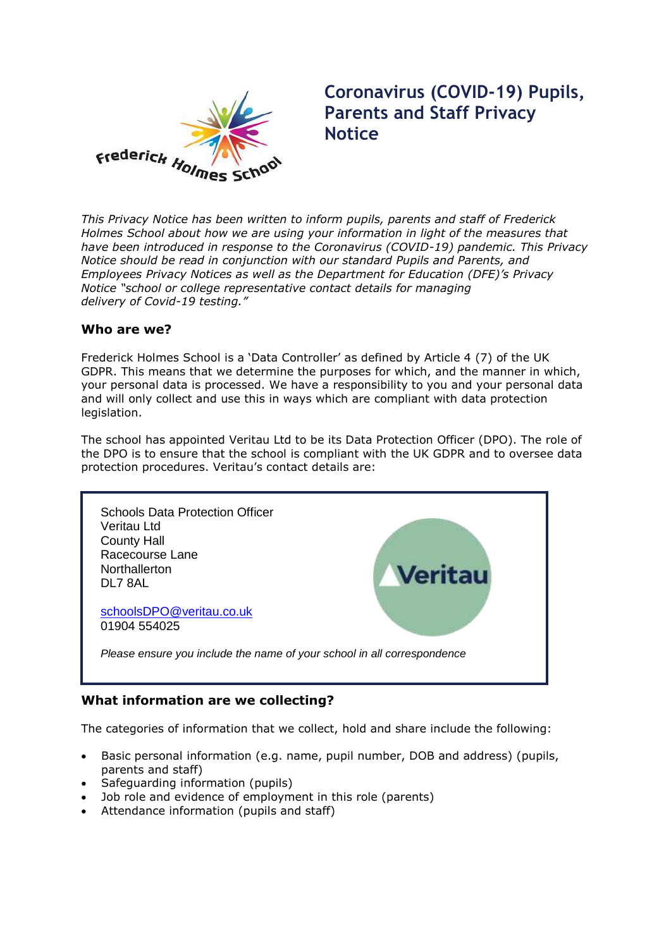

# **Coronavirus (COVID-19) Pupils, Parents and Staff Privacy Notice**

*This Privacy Notice has been written to inform pupils, parents and staff of Frederick Holmes School about how we are using your information in light of the measures that have been introduced in response to the Coronavirus (COVID-19) pandemic. This Privacy Notice should be read in conjunction with our standard Pupils and Parents, and Employees Privacy Notices as well as the Department for Education (DFE)'s Privacy Notice "school or college representative contact details for managing delivery of Covid-19 testing."*

## **Who are we?**

Frederick Holmes School is a 'Data Controller' as defined by Article 4 (7) of the UK GDPR. This means that we determine the purposes for which, and the manner in which, your personal data is processed. We have a responsibility to you and your personal data and will only collect and use this in ways which are compliant with data protection legislation.

The school has appointed Veritau Ltd to be its Data Protection Officer (DPO). The role of the DPO is to ensure that the school is compliant with the UK GDPR and to oversee data protection procedures. Veritau's contact details are:



# **What information are we collecting?**

The categories of information that we collect, hold and share include the following:

- Basic personal information (e.g. name, pupil number, DOB and address) (pupils, parents and staff)
- Safeguarding information (pupils)
- Job role and evidence of employment in this role (parents)
- Attendance information (pupils and staff)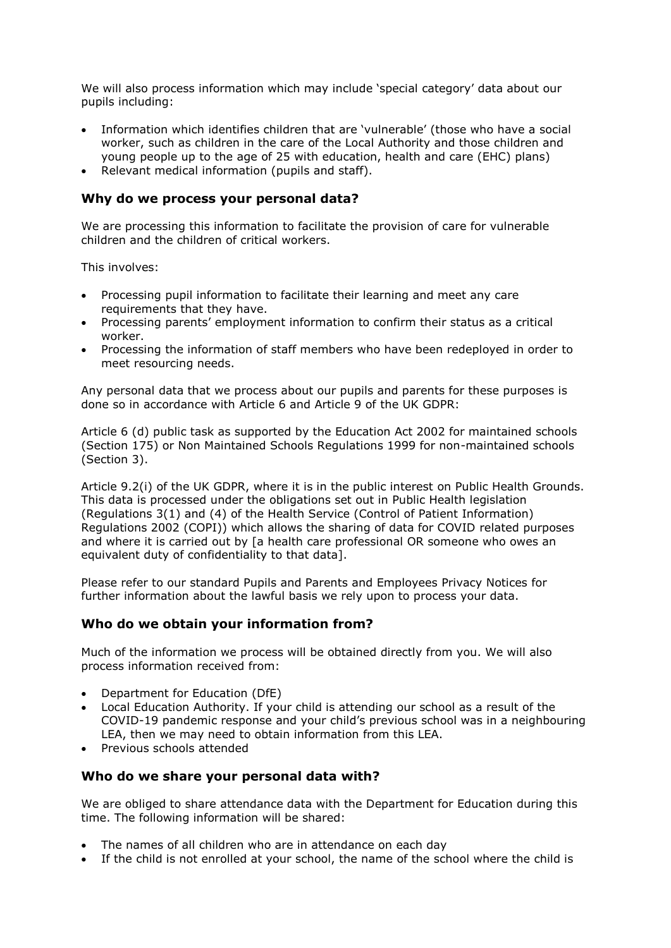We will also process information which may include 'special category' data about our pupils including:

- Information which identifies children that are 'vulnerable' (those who have a social worker, such as children in the care of the Local Authority and those children and young people up to the age of 25 with education, health and care (EHC) plans)
- Relevant medical information (pupils and staff).

### **Why do we process your personal data?**

We are processing this information to facilitate the provision of care for vulnerable children and the children of critical workers.

This involves:

- Processing pupil information to facilitate their learning and meet any care requirements that they have.
- Processing parents' employment information to confirm their status as a critical worker.
- Processing the information of staff members who have been redeployed in order to meet resourcing needs.

Any personal data that we process about our pupils and parents for these purposes is done so in accordance with Article 6 and Article 9 of the UK GDPR:

Article 6 (d) public task as supported by the Education Act 2002 for maintained schools (Section 175) or Non Maintained Schools Regulations 1999 for non-maintained schools (Section 3).

Article 9.2(i) of the UK GDPR, where it is in the public interest on Public Health Grounds. This data is processed under the obligations set out in Public Health legislation (Regulations 3(1) and (4) of the Health Service (Control of Patient Information) Regulations 2002 (COPI)) which allows the sharing of data for COVID related purposes and where it is carried out by [a health care professional OR someone who owes an equivalent duty of confidentiality to that data].

Please refer to our standard Pupils and Parents and Employees Privacy Notices for further information about the lawful basis we rely upon to process your data.

## **Who do we obtain your information from?**

Much of the information we process will be obtained directly from you. We will also process information received from:

- Department for Education (DfE)
- Local Education Authority. If your child is attending our school as a result of the COVID-19 pandemic response and your child's previous school was in a neighbouring LEA, then we may need to obtain information from this LEA.
- Previous schools attended

#### **Who do we share your personal data with?**

We are obliged to share attendance data with the Department for Education during this time. The following information will be shared:

- The names of all children who are in attendance on each day
- If the child is not enrolled at your school, the name of the school where the child is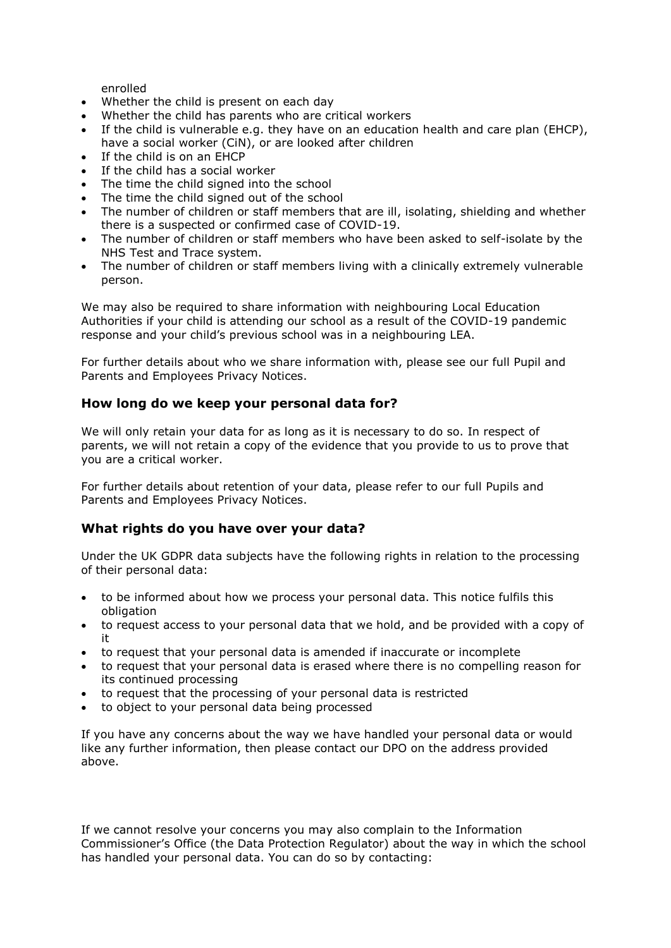enrolled

- Whether the child is present on each day
- Whether the child has parents who are critical workers
- If the child is vulnerable e.g. they have on an education health and care plan (EHCP), have a social worker (CiN), or are looked after children
- If the child is on an EHCP
- If the child has a social worker
- The time the child signed into the school
- The time the child signed out of the school
- The number of children or staff members that are ill, isolating, shielding and whether there is a suspected or confirmed case of COVID-19.
- The number of children or staff members who have been asked to self-isolate by the NHS Test and Trace system.
- The number of children or staff members living with a clinically extremely vulnerable person.

We may also be required to share information with neighbouring Local Education Authorities if your child is attending our school as a result of the COVID-19 pandemic response and your child's previous school was in a neighbouring LEA.

For further details about who we share information with, please see our full Pupil and Parents and Employees Privacy Notices.

#### **How long do we keep your personal data for?**

We will only retain your data for as long as it is necessary to do so. In respect of parents, we will not retain a copy of the evidence that you provide to us to prove that you are a critical worker.

For further details about retention of your data, please refer to our full Pupils and Parents and Employees Privacy Notices.

#### **What rights do you have over your data?**

Under the UK GDPR data subjects have the following rights in relation to the processing of their personal data:

- to be informed about how we process your personal data. This notice fulfils this obligation
- to request access to your personal data that we hold, and be provided with a copy of it
- to request that your personal data is amended if inaccurate or incomplete
- to request that your personal data is erased where there is no compelling reason for its continued processing
- to request that the processing of your personal data is restricted
- to object to your personal data being processed

If you have any concerns about the way we have handled your personal data or would like any further information, then please contact our DPO on the address provided above.

If we cannot resolve your concerns you may also complain to the Information Commissioner's Office (the Data Protection Regulator) about the way in which the school has handled your personal data. You can do so by contacting: